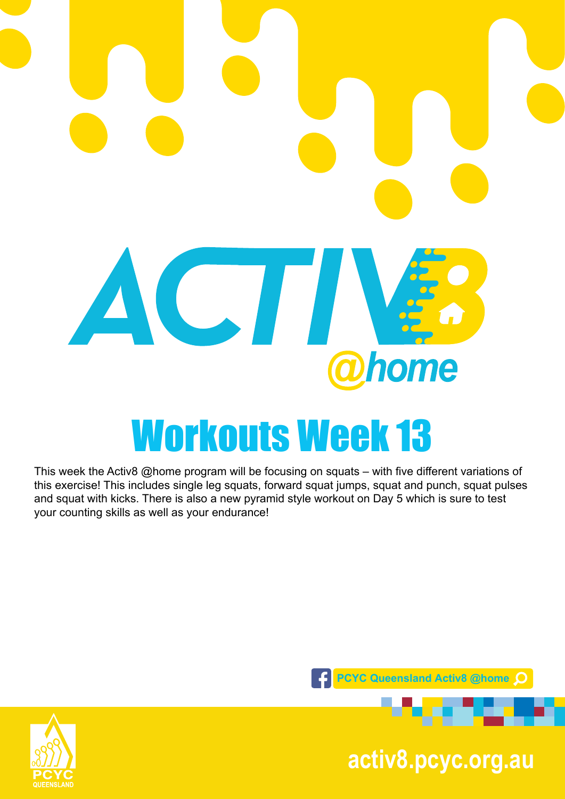

This week the Activ8 @home program will be focusing on squats – with five different variations of this exercise! This includes single leg squats, forward squat jumps, squat and punch, squat pulses and squat with kicks. There is also a new pyramid style workout on Day 5 which is sure to test your counting skills as well as your endurance!





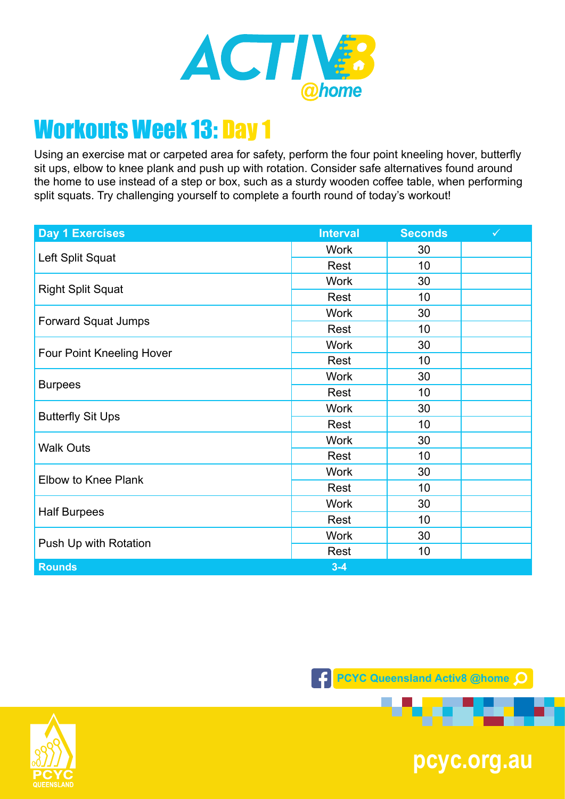

Using an exercise mat or carpeted area for safety, perform the four point kneeling hover, butterfly sit ups, elbow to knee plank and push up with rotation. Consider safe alternatives found around the home to use instead of a step or box, such as a sturdy wooden coffee table, when performing split squats. Try challenging yourself to complete a fourth round of today's workout!

| <b>Day 1 Exercises</b>           | <b>Interval</b> | <b>Seconds</b> | $\checkmark$ |
|----------------------------------|-----------------|----------------|--------------|
| Left Split Squat                 | <b>Work</b>     | 30             |              |
|                                  | Rest            | 10             |              |
| <b>Right Split Squat</b>         | <b>Work</b>     | 30             |              |
|                                  | Rest            | 10             |              |
| <b>Forward Squat Jumps</b>       | <b>Work</b>     | 30             |              |
|                                  | Rest            | 10             |              |
| <b>Four Point Kneeling Hover</b> | <b>Work</b>     | 30             |              |
|                                  | Rest            | 10             |              |
|                                  | <b>Work</b>     | 30             |              |
| <b>Burpees</b>                   | Rest            | 10             |              |
|                                  | <b>Work</b>     | 30             |              |
| <b>Butterfly Sit Ups</b>         | Rest            | 10             |              |
| <b>Walk Outs</b>                 | <b>Work</b>     | 30             |              |
|                                  | Rest            | 10             |              |
| Elbow to Knee Plank              | <b>Work</b>     | 30             |              |
|                                  | Rest            | 10             |              |
| <b>Half Burpees</b>              | <b>Work</b>     | 30             |              |
|                                  | Rest            | 10             |              |
| Push Up with Rotation            | <b>Work</b>     | 30             |              |
|                                  | Rest            | 10             |              |
| <b>Rounds</b>                    | $3 - 4$         |                |              |





**pcyc.org.au**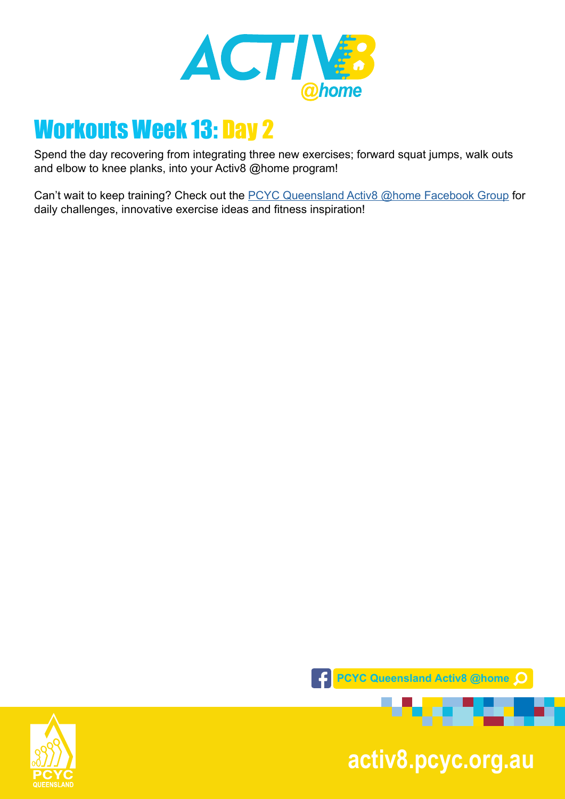

Spend the day recovering from integrating three new exercises; forward squat jumps, walk outs and elbow to knee planks, into your Activ8 @home program!

Can't wait to keep training? Check out the [PCYC Queensland Activ8 @home Facebook Group](https://www.facebook.com/groups/2652320985090996/) for daily challenges, innovative exercise ideas and fitness inspiration!





. .

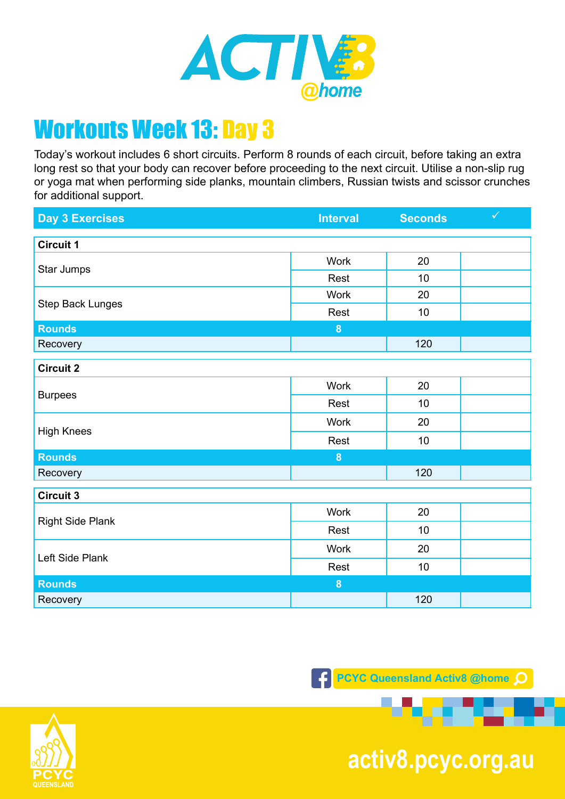

Today's workout includes 6 short circuits. Perform 8 rounds of each circuit, before taking an extra long rest so that your body can recover before proceeding to the next circuit. Utilise a non-slip rug or yoga mat when performing side planks, mountain climbers, Russian twists and scissor crunches for additional support.

| <b>Day 3 Exercises</b>  | <b>Interval</b>  | <b>Seconds</b> | $\checkmark$ |
|-------------------------|------------------|----------------|--------------|
| <b>Circuit 1</b>        |                  |                |              |
| Star Jumps              | Work             | 20             |              |
|                         | Rest             | 10             |              |
|                         | <b>Work</b>      | 20             |              |
| Step Back Lunges        | Rest             | 10             |              |
| <b>Rounds</b>           | 8                |                |              |
| Recovery                |                  | 120            |              |
| <b>Circuit 2</b>        |                  |                |              |
|                         | <b>Work</b>      | 20             |              |
| <b>Burpees</b>          | Rest             | 10             |              |
|                         | Work             | 20             |              |
| <b>High Knees</b>       | Rest             | 10             |              |
| <b>Rounds</b>           | 8                |                |              |
| Recovery                |                  | 120            |              |
| <b>Circuit 3</b>        |                  |                |              |
| <b>Right Side Plank</b> | <b>Work</b>      | 20             |              |
|                         | Rest             | 10             |              |
| Left Side Plank         | Work             | 20             |              |
|                         | Rest             | 10             |              |
| <b>Rounds</b>           | $\boldsymbol{8}$ |                |              |
| Recovery                |                  | 120            |              |



**pcyc.org.au activ8.pcyc.org.au**

. .

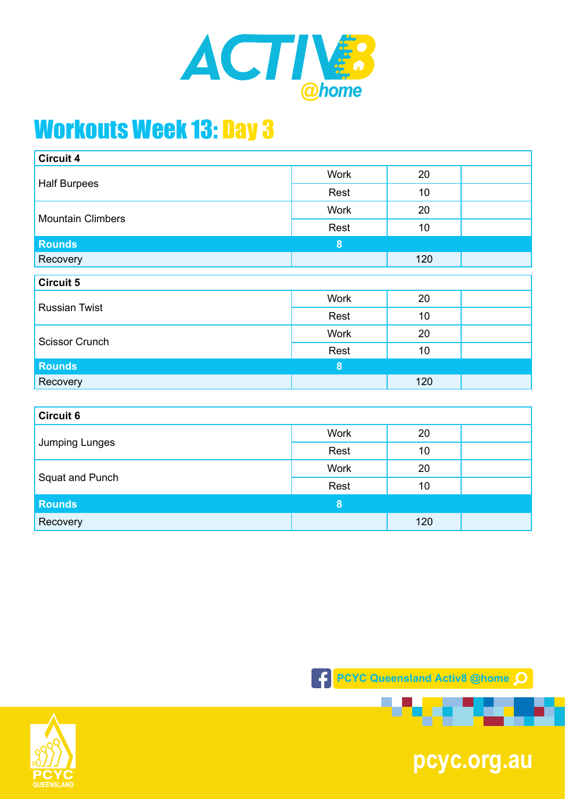

| <b>Circuit 4</b>         |                  |                 |  |
|--------------------------|------------------|-----------------|--|
| <b>Half Burpees</b>      | <b>Work</b>      | 20              |  |
|                          | Rest             | 10              |  |
| <b>Mountain Climbers</b> | <b>Work</b>      | 20              |  |
|                          | Rest             | 10 <sub>1</sub> |  |
| <b>Rounds</b>            | $\boldsymbol{8}$ |                 |  |
| Recovery                 |                  | 120             |  |
| <b>Circuit 5</b>         |                  |                 |  |
| <b>Russian Twist</b>     | Work             | 20              |  |
|                          | Rest             | 10              |  |
| <b>Scissor Crunch</b>    | <b>Work</b>      | 20              |  |
|                          | Rest             | 10              |  |
| <b>Rounds</b>            | $\boldsymbol{8}$ |                 |  |
| Recovery                 |                  | 120             |  |
|                          |                  |                 |  |
| <b>Circuit 6</b>         |                  |                 |  |
| Jumping Lunges           | <b>Work</b>      | 20              |  |
|                          | Rest             | 10              |  |

| Squat and Punch | <b>Work</b> | 20  |  |
|-----------------|-------------|-----|--|
|                 | Rest        | 10  |  |
| <b>Rounds</b>   |             |     |  |
| Recovery        |             | 120 |  |





**pcyc.org.au**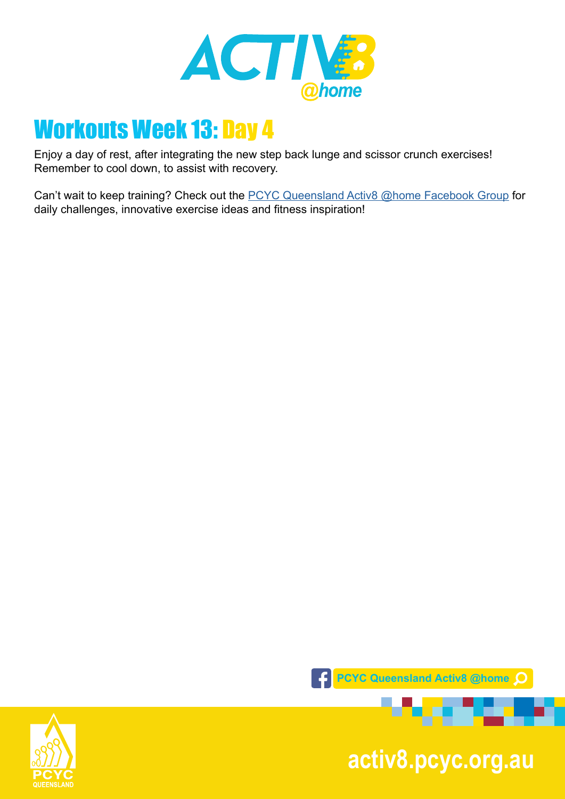

Enjoy a day of rest, after integrating the new step back lunge and scissor crunch exercises! Remember to cool down, to assist with recovery.

Can't wait to keep training? Check out the [PCYC Queensland Activ8 @home Facebook Group](https://www.facebook.com/groups/2652320985090996/) for daily challenges, innovative exercise ideas and fitness inspiration!



**pcyc.org.au activ8.pcyc.org.au**

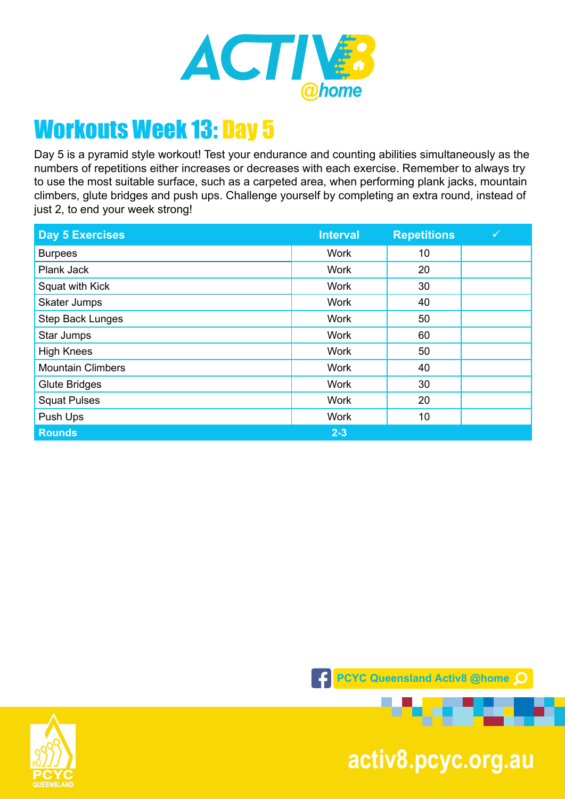

Day 5 is a pyramid style workout! Test your endurance and counting abilities simultaneously as the numbers of repetitions either increases or decreases with each exercise. Remember to always try to use the most suitable surface, such as a carpeted area, when performing plank jacks, mountain climbers, glute bridges and push ups. Challenge yourself by completing an extra round, instead of just 2, to end your week strong!

| <b>Day 5 Exercises</b>   | <b>Interval</b> | <b>Repetitions</b> |  |
|--------------------------|-----------------|--------------------|--|
| <b>Burpees</b>           | <b>Work</b>     | 10                 |  |
| Plank Jack               | <b>Work</b>     | 20                 |  |
| Squat with Kick          | <b>Work</b>     | 30                 |  |
| Skater Jumps             | <b>Work</b>     | 40                 |  |
| <b>Step Back Lunges</b>  | <b>Work</b>     | 50                 |  |
| Star Jumps               | <b>Work</b>     | 60                 |  |
| <b>High Knees</b>        | <b>Work</b>     | 50                 |  |
| <b>Mountain Climbers</b> | <b>Work</b>     | 40                 |  |
| <b>Glute Bridges</b>     | <b>Work</b>     | 30                 |  |
| <b>Squat Pulses</b>      | <b>Work</b>     | 20                 |  |
| Push Ups                 | <b>Work</b>     | 10                 |  |
| <b>Rounds</b>            | $2 - 3$         |                    |  |





**pcyc.org.au activ8.pcyc.org.au**

---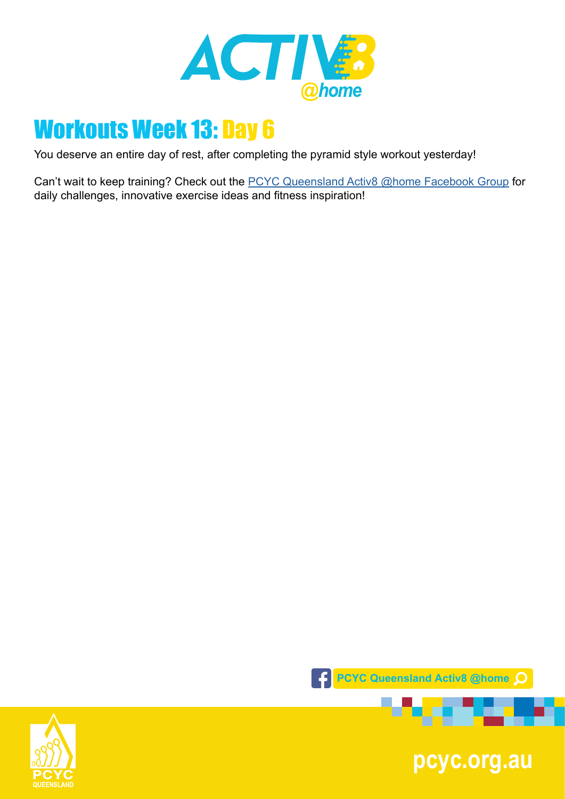

You deserve an entire day of rest, after completing the pyramid style workout yesterday!

Can't wait to keep training? Check out the **PCYC Queensland Activ8 @home Facebook Group** for daily challenges, innovative exercise ideas and fitness inspiration!